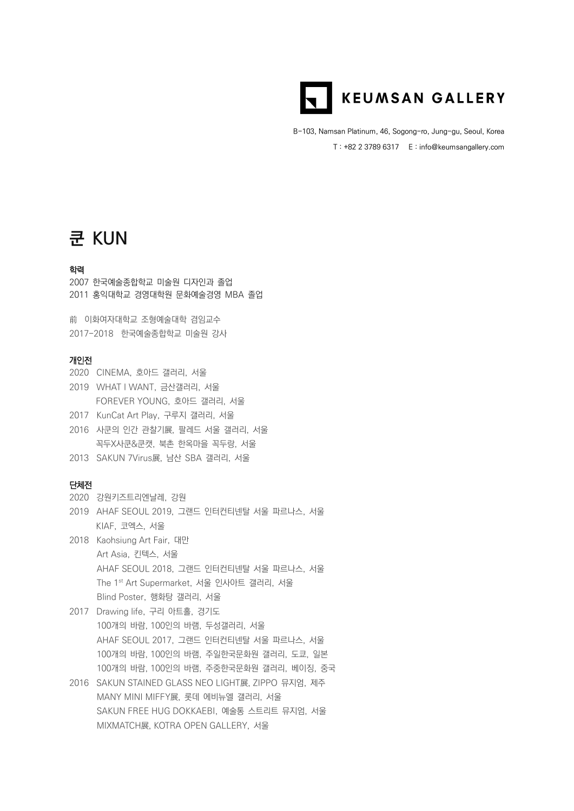

B-103, Namsan Platinum, 46, Sogong-ro, Jung-gu, Seoul, Korea T : +82 2 3789 6317 E : info@keumsangallery.com

# **쿤 KUN**

### 학력

2007 한국예술종합학교 미술원 디자인과 졸업 2011 홍익대학교 경영대학원 문화예술경영 MBA 졸업

前 이화여자대학교 조형예술대학 겸임교수 2017-2018 한국예술종합학교 미술원 강사

#### 개인전

- 2020 CINEMA, 호아드 갤러리, 서울
- 2019 WHAT I WANT, 금산갤러리, 서울
- FOREVER YOUNG, 호아드 갤러리, 서울
- 2017 KunCat Art Play, 구루지 갤러리, 서울
- 2016 사쿤의 인간 관찰기展, 팔레드 서울 갤러리, 서울 꼭두X사쿤&쿤캣, 북촌 한옥마을 꼭두랑, 서울
- 2013 SAKUN 7Virus展, 남산 SBA 갤러리, 서울

# 단체전

- 2020 강원키즈트리엔날레, 강원
- 2019 AHAF SEOUL 2019, 그랜드 인터컨티넨탈 서울 파르나스, 서울 KIAF, 코엑스, 서울
- 2018 Kaohsiung Art Fair, 대만 Art Asia, 킨텍스, 서울 AHAF SEOUL 2018, 그랜드 인터컨티넨탈 서울 파르나스, 서울 The 1st Art Supermarket, 서울 인사아트 갤러리, 서울 Blind Poster, 행화탕 갤러리, 서울
- 2017 Drawing life, 구리 아트홀, 경기도 100개의 바람, 100인의 바램, 두성갤러리, 서울 AHAF SEOUL 2017, 그랜드 인터컨티넨탈 서울 파르나스, 서울 100개의 바람, 100인의 바램, 주일한국문화원 갤러리, 도쿄, 일본 100개의 바람, 100인의 바램, 주중한국문화원 갤러리, 베이징, 중국
- 2016 SAKUN STAINED GLASS NEO LIGHT展, ZIPPO 뮤지엄, 제주 MANY MINI MIFFY展, 롯데 에비뉴엘 갤러리, 서울 SAKUN FREE HUG DOKKAEBI, 예술통 스트리트 뮤지엄, 서울 MIXMATCH展, KOTRA OPEN GALLERY, 서울